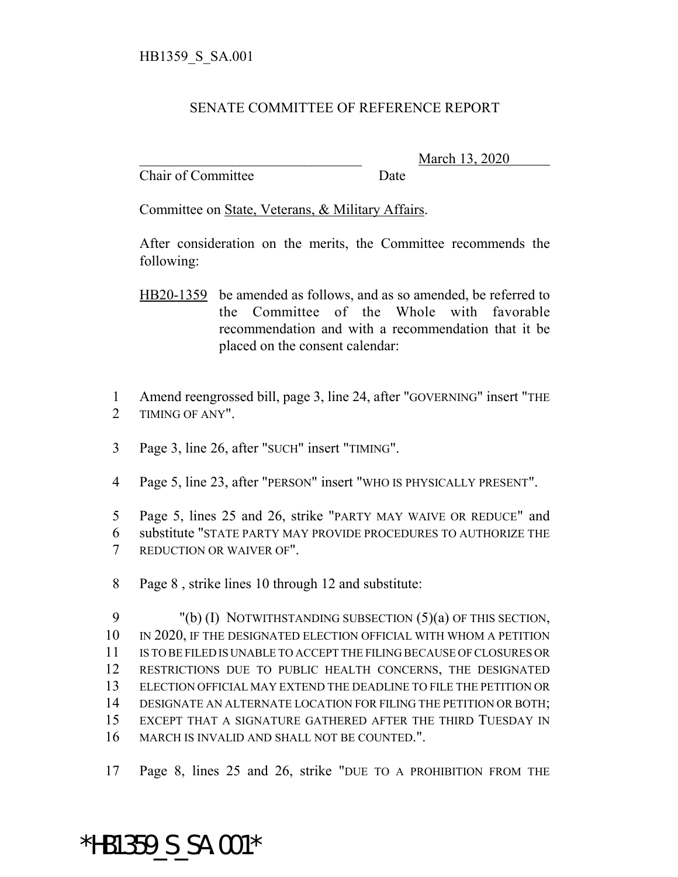## SENATE COMMITTEE OF REFERENCE REPORT

Chair of Committee Date

\_\_\_\_\_\_\_\_\_\_\_\_\_\_\_\_\_\_\_\_\_\_\_\_\_\_\_\_\_\_\_ March 13, 2020

Committee on State, Veterans, & Military Affairs.

After consideration on the merits, the Committee recommends the following:

- HB20-1359 be amended as follows, and as so amended, be referred to the Committee of the Whole with favorable recommendation and with a recommendation that it be placed on the consent calendar:
- 1 Amend reengrossed bill, page 3, line 24, after "GOVERNING" insert "THE 2 TIMING OF ANY".
- 3 Page 3, line 26, after "SUCH" insert "TIMING".
- 4 Page 5, line 23, after "PERSON" insert "WHO IS PHYSICALLY PRESENT".
- 5 Page 5, lines 25 and 26, strike "PARTY MAY WAIVE OR REDUCE" and 6 substitute "STATE PARTY MAY PROVIDE PROCEDURES TO AUTHORIZE THE 7 REDUCTION OR WAIVER OF".
- 8 Page 8 , strike lines 10 through 12 and substitute:

 "(b) (I) NOTWITHSTANDING SUBSECTION (5)(a) OF THIS SECTION, IN 2020, IF THE DESIGNATED ELECTION OFFICIAL WITH WHOM A PETITION IS TO BE FILED IS UNABLE TO ACCEPT THE FILING BECAUSE OF CLOSURES OR RESTRICTIONS DUE TO PUBLIC HEALTH CONCERNS, THE DESIGNATED ELECTION OFFICIAL MAY EXTEND THE DEADLINE TO FILE THE PETITION OR DESIGNATE AN ALTERNATE LOCATION FOR FILING THE PETITION OR BOTH; EXCEPT THAT A SIGNATURE GATHERED AFTER THE THIRD TUESDAY IN MARCH IS INVALID AND SHALL NOT BE COUNTED.".

17 Page 8, lines 25 and 26, strike "DUE TO A PROHIBITION FROM THE

## \*HB1359\_S\_SA.001\*